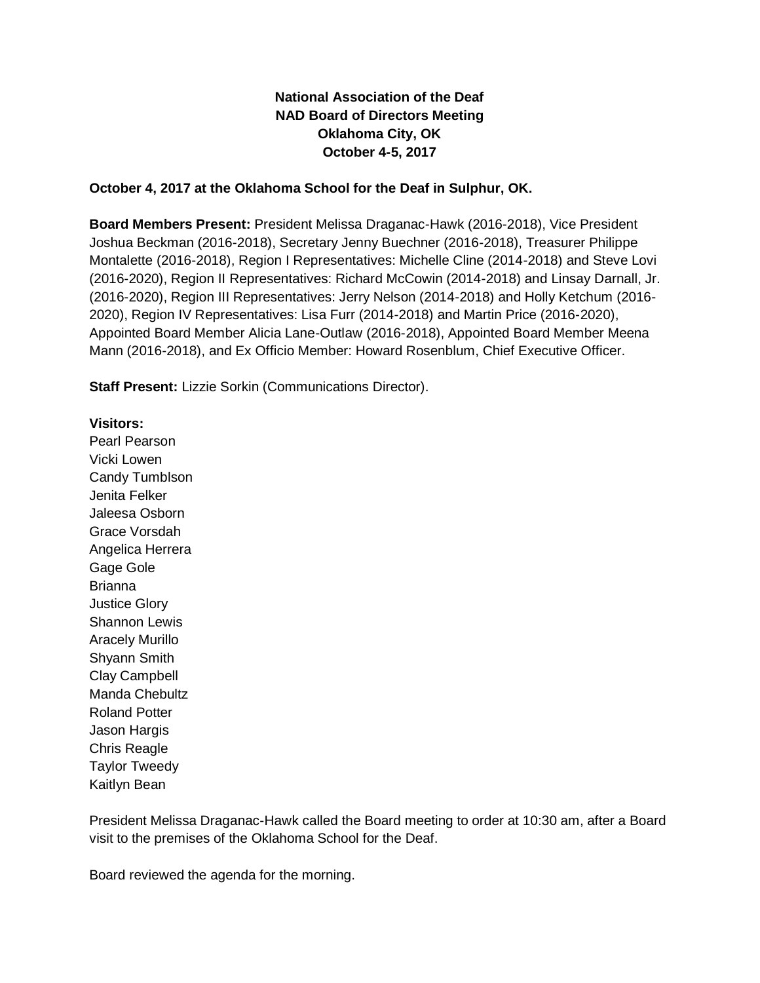## **National Association of the Deaf NAD Board of Directors Meeting Oklahoma City, OK October 4-5, 2017**

## **October 4, 2017 at the Oklahoma School for the Deaf in Sulphur, OK.**

**Board Members Present:** President Melissa Draganac-Hawk (2016-2018), Vice President Joshua Beckman (2016-2018), Secretary Jenny Buechner (2016-2018), Treasurer Philippe Montalette (2016-2018), Region I Representatives: Michelle Cline (2014-2018) and Steve Lovi (2016-2020), Region II Representatives: Richard McCowin (2014-2018) and Linsay Darnall, Jr. (2016-2020), Region III Representatives: Jerry Nelson (2014-2018) and Holly Ketchum (2016- 2020), Region IV Representatives: Lisa Furr (2014-2018) and Martin Price (2016-2020), Appointed Board Member Alicia Lane-Outlaw (2016-2018), Appointed Board Member Meena Mann (2016-2018), and Ex Officio Member: Howard Rosenblum, Chief Executive Officer.

**Staff Present:** Lizzie Sorkin (Communications Director).

## **Visitors:**

Pearl Pearson Vicki Lowen Candy Tumblson Jenita Felker Jaleesa Osborn Grace Vorsdah Angelica Herrera Gage Gole **Brianna** Justice Glory Shannon Lewis Aracely Murillo Shyann Smith Clay Campbell Manda Chebultz Roland Potter Jason Hargis Chris Reagle Taylor Tweedy Kaitlyn Bean

President Melissa Draganac-Hawk called the Board meeting to order at 10:30 am, after a Board visit to the premises of the Oklahoma School for the Deaf.

Board reviewed the agenda for the morning.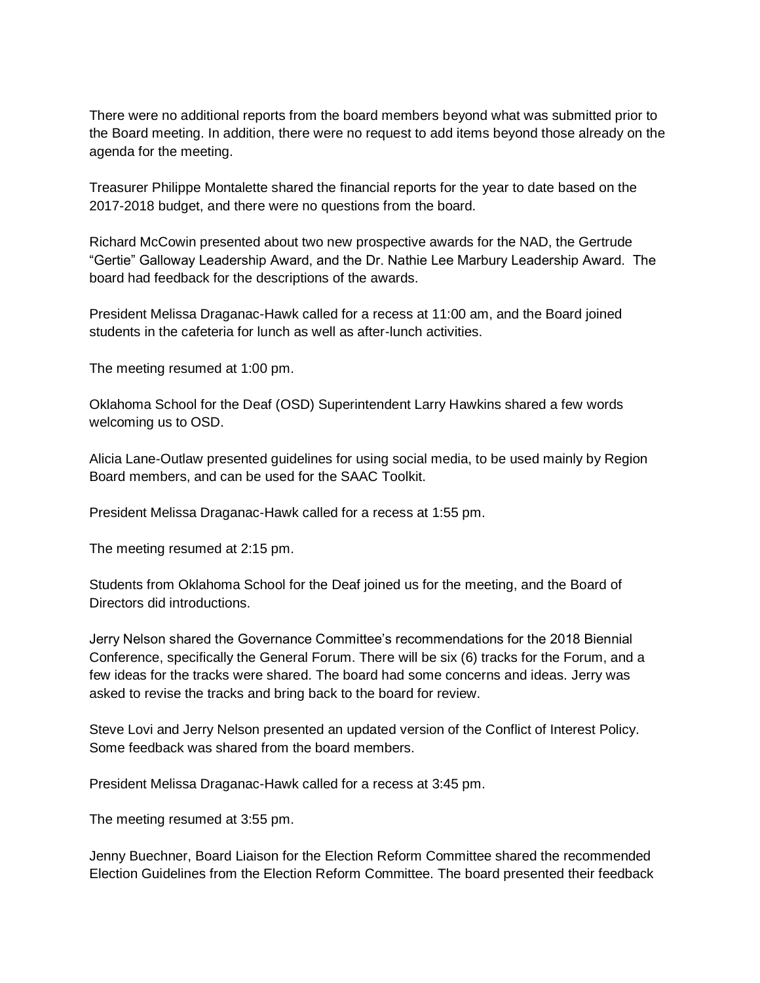There were no additional reports from the board members beyond what was submitted prior to the Board meeting. In addition, there were no request to add items beyond those already on the agenda for the meeting.

Treasurer Philippe Montalette shared the financial reports for the year to date based on the 2017-2018 budget, and there were no questions from the board.

Richard McCowin presented about two new prospective awards for the NAD, the Gertrude "Gertie" Galloway Leadership Award, and the Dr. Nathie Lee Marbury Leadership Award. The board had feedback for the descriptions of the awards.

President Melissa Draganac-Hawk called for a recess at 11:00 am, and the Board joined students in the cafeteria for lunch as well as after-lunch activities.

The meeting resumed at 1:00 pm.

Oklahoma School for the Deaf (OSD) Superintendent Larry Hawkins shared a few words welcoming us to OSD.

Alicia Lane-Outlaw presented guidelines for using social media, to be used mainly by Region Board members, and can be used for the SAAC Toolkit.

President Melissa Draganac-Hawk called for a recess at 1:55 pm.

The meeting resumed at 2:15 pm.

Students from Oklahoma School for the Deaf joined us for the meeting, and the Board of Directors did introductions.

Jerry Nelson shared the Governance Committee's recommendations for the 2018 Biennial Conference, specifically the General Forum. There will be six (6) tracks for the Forum, and a few ideas for the tracks were shared. The board had some concerns and ideas. Jerry was asked to revise the tracks and bring back to the board for review.

Steve Lovi and Jerry Nelson presented an updated version of the Conflict of Interest Policy. Some feedback was shared from the board members.

President Melissa Draganac-Hawk called for a recess at 3:45 pm.

The meeting resumed at 3:55 pm.

Jenny Buechner, Board Liaison for the Election Reform Committee shared the recommended Election Guidelines from the Election Reform Committee. The board presented their feedback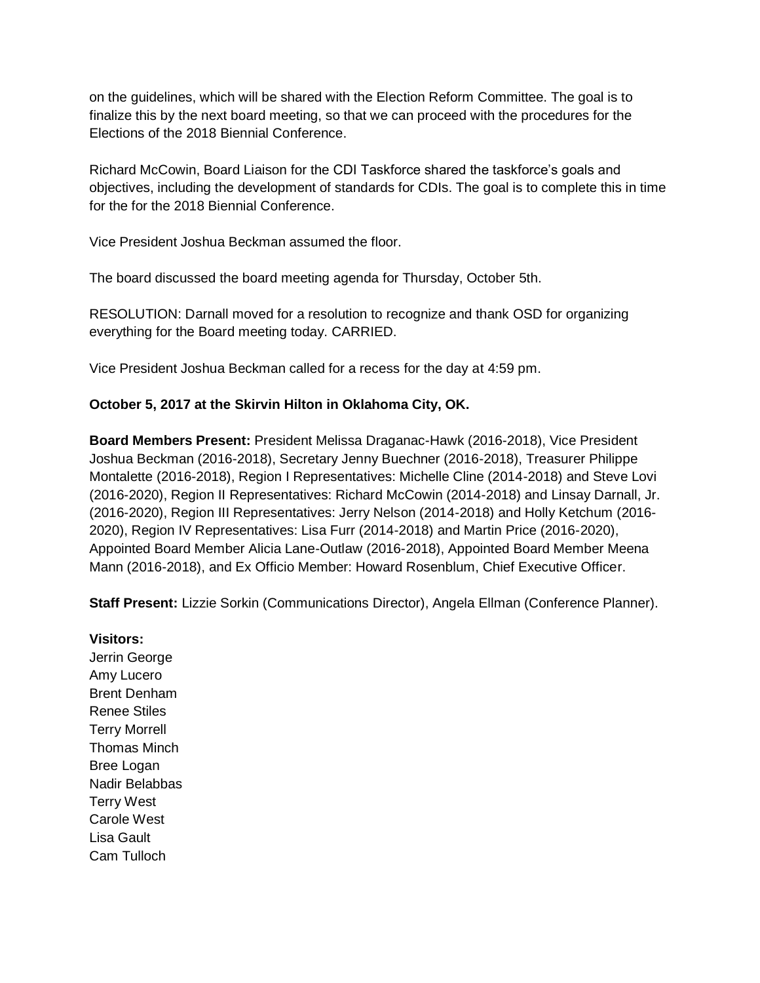on the guidelines, which will be shared with the Election Reform Committee. The goal is to finalize this by the next board meeting, so that we can proceed with the procedures for the Elections of the 2018 Biennial Conference.

Richard McCowin, Board Liaison for the CDI Taskforce shared the taskforce's goals and objectives, including the development of standards for CDIs. The goal is to complete this in time for the for the 2018 Biennial Conference.

Vice President Joshua Beckman assumed the floor.

The board discussed the board meeting agenda for Thursday, October 5th.

RESOLUTION: Darnall moved for a resolution to recognize and thank OSD for organizing everything for the Board meeting today. CARRIED.

Vice President Joshua Beckman called for a recess for the day at 4:59 pm.

## **October 5, 2017 at the Skirvin Hilton in Oklahoma City, OK.**

**Board Members Present:** President Melissa Draganac-Hawk (2016-2018), Vice President Joshua Beckman (2016-2018), Secretary Jenny Buechner (2016-2018), Treasurer Philippe Montalette (2016-2018), Region I Representatives: Michelle Cline (2014-2018) and Steve Lovi (2016-2020), Region II Representatives: Richard McCowin (2014-2018) and Linsay Darnall, Jr. (2016-2020), Region III Representatives: Jerry Nelson (2014-2018) and Holly Ketchum (2016- 2020), Region IV Representatives: Lisa Furr (2014-2018) and Martin Price (2016-2020), Appointed Board Member Alicia Lane-Outlaw (2016-2018), Appointed Board Member Meena Mann (2016-2018), and Ex Officio Member: Howard Rosenblum, Chief Executive Officer.

**Staff Present:** Lizzie Sorkin (Communications Director), Angela Ellman (Conference Planner).

**Visitors:** Jerrin George Amy Lucero Brent Denham Renee Stiles Terry Morrell Thomas Minch Bree Logan Nadir Belabbas Terry West Carole West Lisa Gault Cam Tulloch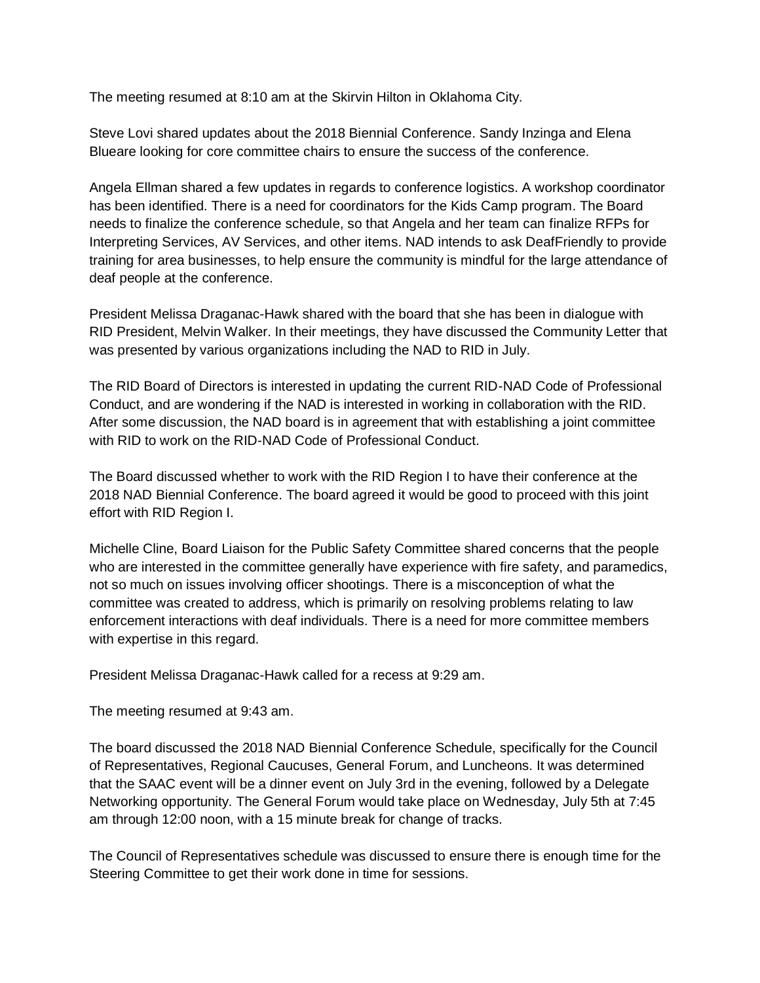The meeting resumed at 8:10 am at the Skirvin Hilton in Oklahoma City.

Steve Lovi shared updates about the 2018 Biennial Conference. Sandy Inzinga and Elena Blueare looking for core committee chairs to ensure the success of the conference.

Angela Ellman shared a few updates in regards to conference logistics. A workshop coordinator has been identified. There is a need for coordinators for the Kids Camp program. The Board needs to finalize the conference schedule, so that Angela and her team can finalize RFPs for Interpreting Services, AV Services, and other items. NAD intends to ask DeafFriendly to provide training for area businesses, to help ensure the community is mindful for the large attendance of deaf people at the conference.

President Melissa Draganac-Hawk shared with the board that she has been in dialogue with RID President, Melvin Walker. In their meetings, they have discussed the Community Letter that was presented by various organizations including the NAD to RID in July.

The RID Board of Directors is interested in updating the current RID-NAD Code of Professional Conduct, and are wondering if the NAD is interested in working in collaboration with the RID. After some discussion, the NAD board is in agreement that with establishing a joint committee with RID to work on the RID-NAD Code of Professional Conduct.

The Board discussed whether to work with the RID Region I to have their conference at the 2018 NAD Biennial Conference. The board agreed it would be good to proceed with this joint effort with RID Region I.

Michelle Cline, Board Liaison for the Public Safety Committee shared concerns that the people who are interested in the committee generally have experience with fire safety, and paramedics, not so much on issues involving officer shootings. There is a misconception of what the committee was created to address, which is primarily on resolving problems relating to law enforcement interactions with deaf individuals. There is a need for more committee members with expertise in this regard.

President Melissa Draganac-Hawk called for a recess at 9:29 am.

The meeting resumed at 9:43 am.

The board discussed the 2018 NAD Biennial Conference Schedule, specifically for the Council of Representatives, Regional Caucuses, General Forum, and Luncheons. It was determined that the SAAC event will be a dinner event on July 3rd in the evening, followed by a Delegate Networking opportunity. The General Forum would take place on Wednesday, July 5th at 7:45 am through 12:00 noon, with a 15 minute break for change of tracks.

The Council of Representatives schedule was discussed to ensure there is enough time for the Steering Committee to get their work done in time for sessions.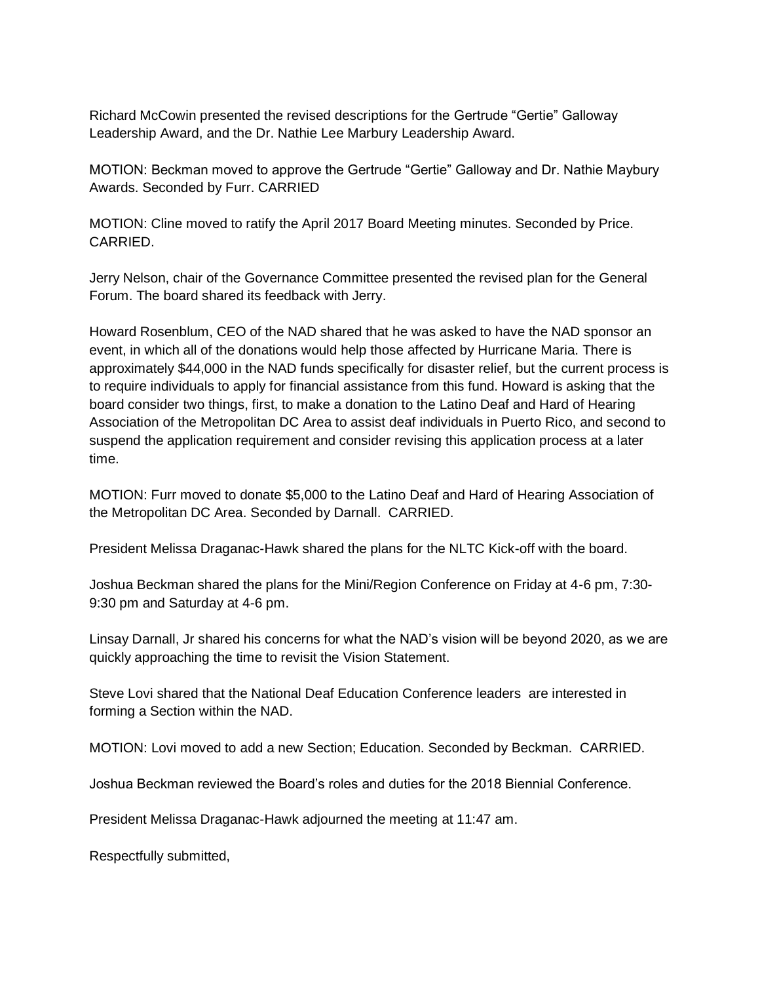Richard McCowin presented the revised descriptions for the Gertrude "Gertie" Galloway Leadership Award, and the Dr. Nathie Lee Marbury Leadership Award.

MOTION: Beckman moved to approve the Gertrude "Gertie" Galloway and Dr. Nathie Maybury Awards. Seconded by Furr. CARRIED

MOTION: Cline moved to ratify the April 2017 Board Meeting minutes. Seconded by Price. CARRIED.

Jerry Nelson, chair of the Governance Committee presented the revised plan for the General Forum. The board shared its feedback with Jerry.

Howard Rosenblum, CEO of the NAD shared that he was asked to have the NAD sponsor an event, in which all of the donations would help those affected by Hurricane Maria. There is approximately \$44,000 in the NAD funds specifically for disaster relief, but the current process is to require individuals to apply for financial assistance from this fund. Howard is asking that the board consider two things, first, to make a donation to the Latino Deaf and Hard of Hearing Association of the Metropolitan DC Area to assist deaf individuals in Puerto Rico, and second to suspend the application requirement and consider revising this application process at a later time.

MOTION: Furr moved to donate \$5,000 to the Latino Deaf and Hard of Hearing Association of the Metropolitan DC Area. Seconded by Darnall. CARRIED.

President Melissa Draganac-Hawk shared the plans for the NLTC Kick-off with the board.

Joshua Beckman shared the plans for the Mini/Region Conference on Friday at 4-6 pm, 7:30- 9:30 pm and Saturday at 4-6 pm.

Linsay Darnall, Jr shared his concerns for what the NAD's vision will be beyond 2020, as we are quickly approaching the time to revisit the Vision Statement.

Steve Lovi shared that the National Deaf Education Conference leaders are interested in forming a Section within the NAD.

MOTION: Lovi moved to add a new Section; Education. Seconded by Beckman. CARRIED.

Joshua Beckman reviewed the Board's roles and duties for the 2018 Biennial Conference.

President Melissa Draganac-Hawk adjourned the meeting at 11:47 am.

Respectfully submitted,